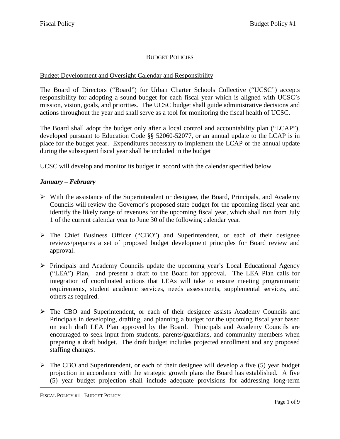# BUDGET POLICIES

### Budget Development and Oversight Calendar and Responsibility

The Board of Directors ("Board") for Urban Charter Schools Collective ("UCSC") accepts responsibility for adopting a sound budget for each fiscal year which is aligned with UCSC's mission, vision, goals, and priorities. The UCSC budget shall guide administrative decisions and actions throughout the year and shall serve as a tool for monitoring the fiscal health of UCSC.

The Board shall adopt the budget only after a local control and accountability plan ("LCAP"), developed pursuant to Education Code §§ 52060-52077, or an annual update to the LCAP is in place for the budget year. Expenditures necessary to implement the LCAP or the annual update during the subsequent fiscal year shall be included in the budget

UCSC will develop and monitor its budget in accord with the calendar specified below.

# *January – February*

- $\triangleright$  With the assistance of the Superintendent or designee, the Board, Principals, and Academy Councils will review the Governor's proposed state budget for the upcoming fiscal year and identify the likely range of revenues for the upcoming fiscal year, which shall run from July 1 of the current calendar year to June 30 of the following calendar year.
- The Chief Business Officer ("CBO") and Superintendent, or each of their designee reviews/prepares a set of proposed budget development principles for Board review and approval.
- Principals and Academy Councils update the upcoming year's Local Educational Agency ("LEA") Plan, and present a draft to the Board for approval. The LEA Plan calls for integration of coordinated actions that LEAs will take to ensure meeting programmatic requirements, student academic services, needs assessments, supplemental services, and others as required.
- $\triangleright$  The CBO and Superintendent, or each of their designee assists Academy Councils and Principals in developing, drafting, and planning a budget for the upcoming fiscal year based on each draft LEA Plan approved by the Board. Principals and Academy Councils are encouraged to seek input from students, parents/guardians, and community members when preparing a draft budget. The draft budget includes projected enrollment and any proposed staffing changes.
- $\triangleright$  The CBO and Superintendent, or each of their designee will develop a five (5) year budget projection in accordance with the strategic growth plans the Board has established. A five (5) year budget projection shall include adequate provisions for addressing long-term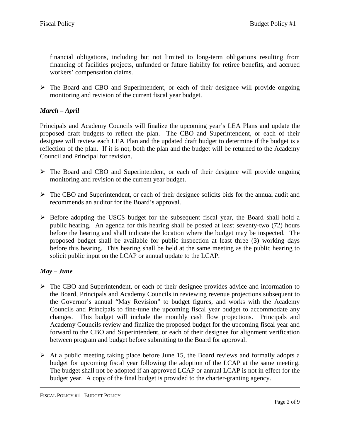financial obligations, including but not limited to long-term obligations resulting from financing of facilities projects, unfunded or future liability for retiree benefits, and accrued workers' compensation claims.

 $\triangleright$  The Board and CBO and Superintendent, or each of their designee will provide ongoing monitoring and revision of the current fiscal year budget.

# *March – April*

Principals and Academy Councils will finalize the upcoming year's LEA Plans and update the proposed draft budgets to reflect the plan. The CBO and Superintendent, or each of their designee will review each LEA Plan and the updated draft budget to determine if the budget is a reflection of the plan. If it is not, both the plan and the budget will be returned to the Academy Council and Principal for revision.

- The Board and CBO and Superintendent, or each of their designee will provide ongoing monitoring and revision of the current year budget.
- The CBO and Superintendent, or each of their designee solicits bids for the annual audit and recommends an auditor for the Board's approval.
- $\triangleright$  Before adopting the USCS budget for the subsequent fiscal year, the Board shall hold a public hearing. An agenda for this hearing shall be posted at least seventy-two (72) hours before the hearing and shall indicate the location where the budget may be inspected. The proposed budget shall be available for public inspection at least three (3) working days before this hearing. This hearing shall be held at the same meeting as the public hearing to solicit public input on the LCAP or annual update to the LCAP.

### *May – June*

- The CBO and Superintendent, or each of their designee provides advice and information to the Board, Principals and Academy Councils in reviewing revenue projections subsequent to the Governor's annual "May Revision" to budget figures, and works with the Academy Councils and Principals to fine-tune the upcoming fiscal year budget to accommodate any changes. This budget will include the monthly cash flow projections. Principals and Academy Councils review and finalize the proposed budget for the upcoming fiscal year and forward to the CBO and Superintendent, or each of their designee for alignment verification between program and budget before submitting to the Board for approval.
- $\triangleright$  At a public meeting taking place before June 15, the Board reviews and formally adopts a budget for upcoming fiscal year following the adoption of the LCAP at the same meeting. The budget shall not be adopted if an approved LCAP or annual LCAP is not in effect for the budget year. A copy of the final budget is provided to the charter-granting agency.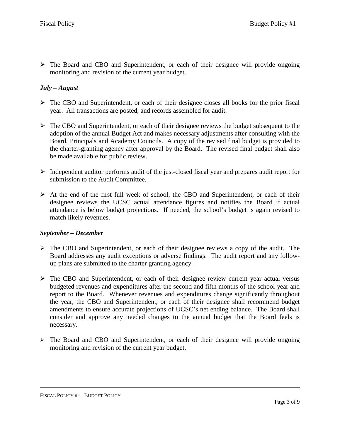The Board and CBO and Superintendent, or each of their designee will provide ongoing monitoring and revision of the current year budget.

# *July – August*

- $\triangleright$  The CBO and Superintendent, or each of their designee closes all books for the prior fiscal year. All transactions are posted, and records assembled for audit.
- $\triangleright$  The CBO and Superintendent, or each of their designee reviews the budget subsequent to the adoption of the annual Budget Act and makes necessary adjustments after consulting with the Board, Principals and Academy Councils. A copy of the revised final budget is provided to the charter-granting agency after approval by the Board. The revised final budget shall also be made available for public review.
- $\triangleright$  Independent auditor performs audit of the just-closed fiscal year and prepares audit report for submission to the Audit Committee.
- $\triangleright$  At the end of the first full week of school, the CBO and Superintendent, or each of their designee reviews the UCSC actual attendance figures and notifies the Board if actual attendance is below budget projections. If needed, the school's budget is again revised to match likely revenues.

#### *September – December*

- $\triangleright$  The CBO and Superintendent, or each of their designee reviews a copy of the audit. The Board addresses any audit exceptions or adverse findings. The audit report and any followup plans are submitted to the charter granting agency.
- $\triangleright$  The CBO and Superintendent, or each of their designee review current year actual versus budgeted revenues and expenditures after the second and fifth months of the school year and report to the Board. Whenever revenues and expenditures change significantly throughout the year, the CBO and Superintendent, or each of their designee shall recommend budget amendments to ensure accurate projections of UCSC's net ending balance. The Board shall consider and approve any needed changes to the annual budget that the Board feels is necessary.
- The Board and CBO and Superintendent, or each of their designee will provide ongoing monitoring and revision of the current year budget.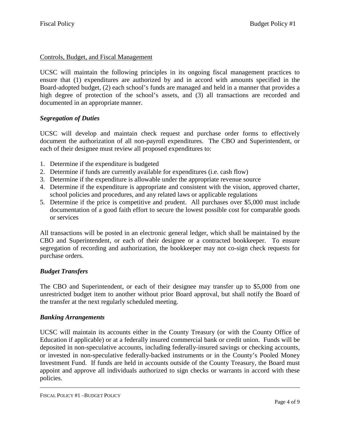# Controls, Budget, and Fiscal Management

UCSC will maintain the following principles in its ongoing fiscal management practices to ensure that (1) expenditures are authorized by and in accord with amounts specified in the Board-adopted budget, (2) each school's funds are managed and held in a manner that provides a high degree of protection of the school's assets, and (3) all transactions are recorded and documented in an appropriate manner.

# *Segregation of Duties*

UCSC will develop and maintain check request and purchase order forms to effectively document the authorization of all non-payroll expenditures. The CBO and Superintendent, or each of their designee must review all proposed expenditures to:

- 1. Determine if the expenditure is budgeted
- 2. Determine if funds are currently available for expenditures (i.e. cash flow)
- 3. Determine if the expenditure is allowable under the appropriate revenue source
- 4. Determine if the expenditure is appropriate and consistent with the vision, approved charter, school policies and procedures, and any related laws or applicable regulations
- 5. Determine if the price is competitive and prudent. All purchases over \$5,000 must include documentation of a good faith effort to secure the lowest possible cost for comparable goods or services

All transactions will be posted in an electronic general ledger, which shall be maintained by the CBO and Superintendent, or each of their designee or a contracted bookkeeper. To ensure segregation of recording and authorization, the bookkeeper may not co-sign check requests for purchase orders.

# *Budget Transfers*

The CBO and Superintendent, or each of their designee may transfer up to \$5,000 from one unrestricted budget item to another without prior Board approval, but shall notify the Board of the transfer at the next regularly scheduled meeting.

### *Banking Arrangements*

UCSC will maintain its accounts either in the County Treasury (or with the County Office of Education if applicable) or at a federally insured commercial bank or credit union. Funds will be deposited in non-speculative accounts, including federally-insured savings or checking accounts, or invested in non-speculative federally-backed instruments or in the County's Pooled Money Investment Fund. If funds are held in accounts outside of the County Treasury, the Board must appoint and approve all individuals authorized to sign checks or warrants in accord with these policies.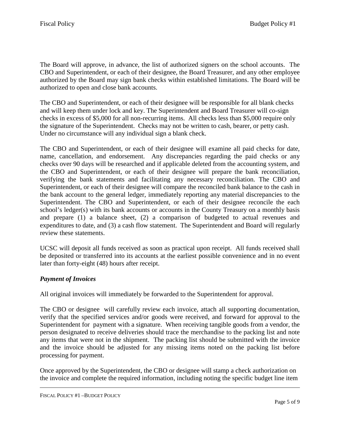The Board will approve, in advance, the list of authorized signers on the school accounts. The CBO and Superintendent, or each of their designee, the Board Treasurer, and any other employee authorized by the Board may sign bank checks within established limitations. The Board will be authorized to open and close bank accounts.

The CBO and Superintendent, or each of their designee will be responsible for all blank checks and will keep them under lock and key. The Superintendent and Board Treasurer will co-sign checks in excess of \$5,000 for all non-recurring items. All checks less than \$5,000 require only the signature of the Superintendent. Checks may not be written to cash, bearer, or petty cash. Under no circumstance will any individual sign a blank check.

The CBO and Superintendent, or each of their designee will examine all paid checks for date, name, cancellation, and endorsement. Any discrepancies regarding the paid checks or any checks over 90 days will be researched and if applicable deleted from the accounting system, and the CBO and Superintendent, or each of their designee will prepare the bank reconciliation, verifying the bank statements and facilitating any necessary reconciliation. The CBO and Superintendent, or each of their designee will compare the reconciled bank balance to the cash in the bank account to the general ledger, immediately reporting any material discrepancies to the Superintendent. The CBO and Superintendent, or each of their designee reconcile the each school's ledger(s) with its bank accounts or accounts in the County Treasury on a monthly basis and prepare (1) a balance sheet, (2) a comparison of budgeted to actual revenues and expenditures to date, and (3) a cash flow statement. The Superintendent and Board will regularly review these statements.

UCSC will deposit all funds received as soon as practical upon receipt. All funds received shall be deposited or transferred into its accounts at the earliest possible convenience and in no event later than forty-eight (48) hours after receipt.

### *Payment of Invoices*

All original invoices will immediately be forwarded to the Superintendent for approval.

The CBO or designee will carefully review each invoice, attach all supporting documentation, verify that the specified services and/or goods were received, and forward for approval to the Superintendent for payment with a signature. When receiving tangible goods from a vendor, the person designated to receive deliveries should trace the merchandise to the packing list and note any items that were not in the shipment. The packing list should be submitted with the invoice and the invoice should be adjusted for any missing items noted on the packing list before processing for payment.

Once approved by the Superintendent, the CBO or designee will stamp a check authorization on the invoice and complete the required information, including noting the specific budget line item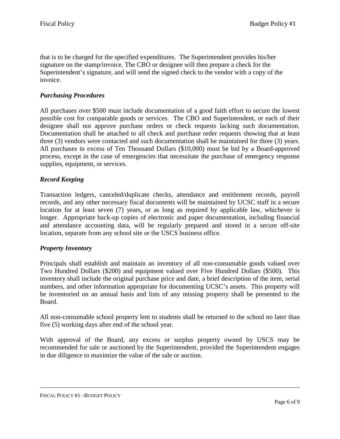that is to be charged for the specified expenditures. The Superintendent provides his/her signature on the stamp/invoice. The CBO or designee will then prepare a check for the Superintendent's signature, and will send the signed check to the vendor with a copy of the invoice.

### *Purchasing Procedures*

All purchases over \$500 must include documentation of a good faith effort to secure the lowest possible cost for comparable goods or services. The CBO and Superintendent, or each of their designee shall not approve purchase orders or check requests lacking such documentation. Documentation shall be attached to all check and purchase order requests showing that at least three (3) vendors were contacted and such documentation shall be maintained for three (3) years. All purchases in excess of Ten Thousand Dollars (\$10,000) must be bid by a Board-approved process, except in the case of emergencies that necessitate the purchase of emergency response supplies, equipment, or services.

#### *Record Keeping*

Transaction ledgers, canceled/duplicate checks, attendance and entitlement records, payroll records, and any other necessary fiscal documents will be maintained by UCSC staff in a secure location for at least seven (7) years, or as long as required by applicable law, whichever is longer. Appropriate back-up copies of electronic and paper documentation, including financial and attendance accounting data, will be regularly prepared and stored in a secure off-site location, separate from any school site or the USCS business office.

#### *Property Inventory*

Principals shall establish and maintain an inventory of all non-consumable goods valued over Two Hundred Dollars (\$200) and equipment valued over Five Hundred Dollars (\$500). This inventory shall include the original purchase price and date, a brief description of the item, serial numbers, and other information appropriate for documenting UCSC's assets. This property will be inventoried on an annual basis and lists of any missing property shall be presented to the Board.

All non-consumable school property lent to students shall be returned to the school no later than five (5) working days after end of the school year.

With approval of the Board, any excess or surplus property owned by USCS may be recommended for sale or auctioned by the Superintendent, provided the Superintendent engages in due diligence to maximize the value of the sale or auction.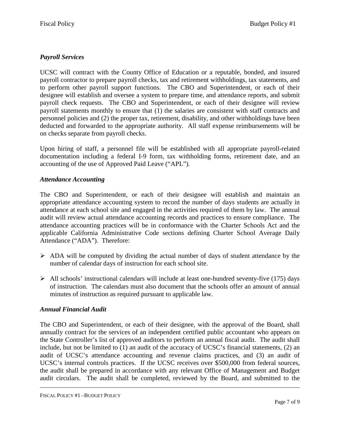# *Payroll Services*

UCSC will contract with the County Office of Education or a reputable, bonded, and insured payroll contractor to prepare payroll checks, tax and retirement withholdings, tax statements, and to perform other payroll support functions. The CBO and Superintendent, or each of their designee will establish and oversee a system to prepare time, and attendance reports, and submit payroll check requests. The CBO and Superintendent, or each of their designee will review payroll statements monthly to ensure that (1) the salaries are consistent with staff contracts and personnel policies and (2) the proper tax, retirement, disability, and other withholdings have been deducted and forwarded to the appropriate authority. All staff expense reimbursements will be on checks separate from payroll checks.

Upon hiring of staff, a personnel file will be established with all appropriate payroll-related documentation including a federal I-9 form, tax withholding forms, retirement date, and an accounting of the use of Approved Paid Leave ("APL").

# *Attendance Accounting*

The CBO and Superintendent, or each of their designee will establish and maintain an appropriate attendance accounting system to record the number of days students are actually in attendance at each school site and engaged in the activities required of them by law. The annual audit will review actual attendance accounting records and practices to ensure compliance. The attendance accounting practices will be in conformance with the Charter Schools Act and the applicable California Administrative Code sections defining Charter School Average Daily Attendance ("ADA"). Therefore:

- $\triangleright$  ADA will be computed by dividing the actual number of days of student attendance by the number of calendar days of instruction for each school site.
- $\triangleright$  All schools' instructional calendars will include at least one-hundred seventy-five (175) days of instruction. The calendars must also document that the schools offer an amount of annual minutes of instruction as required pursuant to applicable law.

### *Annual Financial Audit*

The CBO and Superintendent, or each of their designee, with the approval of the Board, shall annually contract for the services of an independent certified public accountant who appears on the State Controller's list of approved auditors to perform an annual fiscal audit. The audit shall include, but not be limited to (1) an audit of the accuracy of UCSC's financial statements, (2) an audit of UCSC's attendance accounting and revenue claims practices, and (3) an audit of UCSC's internal controls practices. If the UCSC receives over \$500,000 from federal sources, the audit shall be prepared in accordance with any relevant Office of Management and Budget audit circulars. The audit shall be completed, reviewed by the Board, and submitted to the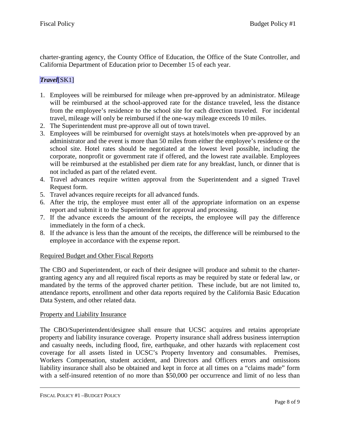charter-granting agency, the County Office of Education, the Office of the State Controller, and California Department of Education prior to December 15 of each year.

# *Travel*[SK1]

- 1. Employees will be reimbursed for mileage when pre-approved by an administrator. Mileage will be reimbursed at the school-approved rate for the distance traveled, less the distance from the employee's residence to the school site for each direction traveled. For incidental travel, mileage will only be reimbursed if the one-way mileage exceeds 10 miles.
- 2. The Superintendent must pre-approve all out of town travel.
- 3. Employees will be reimbursed for overnight stays at hotels/motels when pre-approved by an administrator and the event is more than 50 miles from either the employee's residence or the school site. Hotel rates should be negotiated at the lowest level possible, including the corporate, nonprofit or government rate if offered, and the lowest rate available. Employees will be reimbursed at the established per diem rate for any breakfast, lunch, or dinner that is not included as part of the related event.
- 4. Travel advances require written approval from the Superintendent and a signed Travel Request form.
- 5. Travel advances require receipts for all advanced funds.
- 6. After the trip, the employee must enter all of the appropriate information on an expense report and submit it to the Superintendent for approval and processing.
- 7. If the advance exceeds the amount of the receipts, the employee will pay the difference immediately in the form of a check.
- 8. If the advance is less than the amount of the receipts, the difference will be reimbursed to the employee in accordance with the expense report.

### Required Budget and Other Fiscal Reports

The CBO and Superintendent, or each of their designee will produce and submit to the chartergranting agency any and all required fiscal reports as may be required by state or federal law, or mandated by the terms of the approved charter petition. These include, but are not limited to, attendance reports, enrollment and other data reports required by the California Basic Education Data System, and other related data.

### Property and Liability Insurance

The CBO/Superintendent/designee shall ensure that UCSC acquires and retains appropriate property and liability insurance coverage. Property insurance shall address business interruption and casualty needs, including flood, fire, earthquake, and other hazards with replacement cost coverage for all assets listed in UCSC's Property Inventory and consumables. Premises, Workers Compensation, student accident, and Directors and Officers errors and omissions liability insurance shall also be obtained and kept in force at all times on a "claims made" form with a self-insured retention of no more than \$50,000 per occurrence and limit of no less than